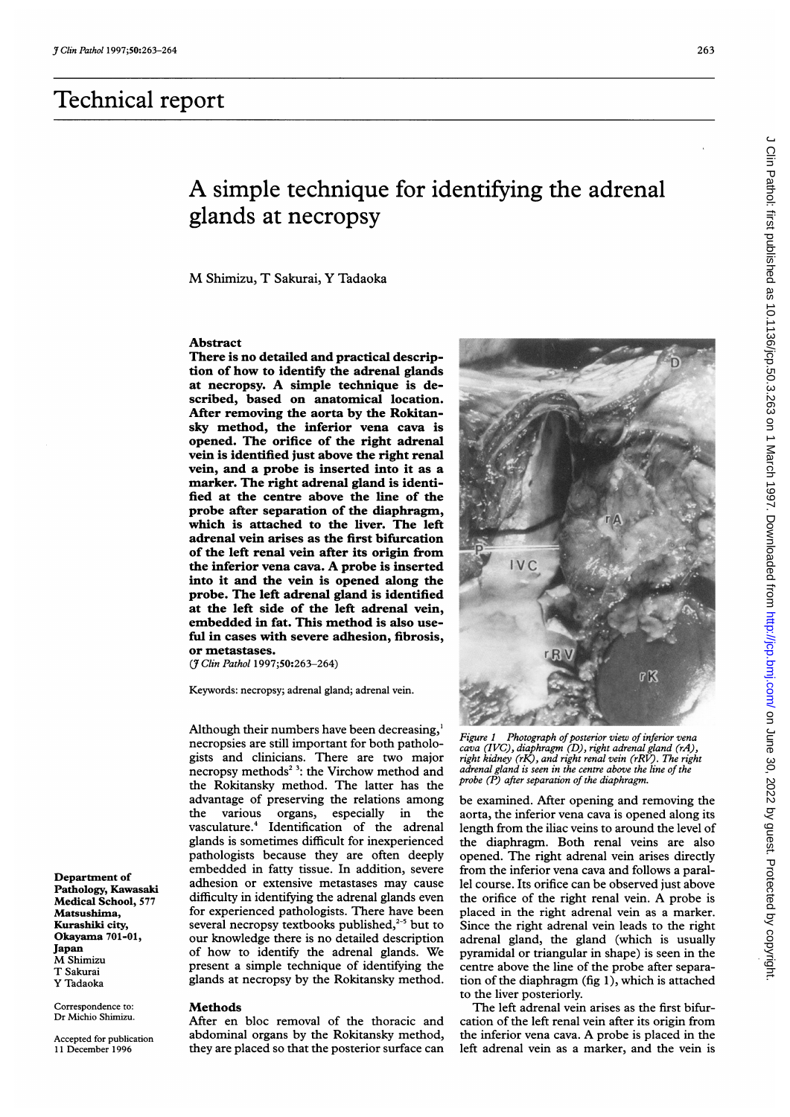# Technical report

## A simple technique for identifying the adrenal glands at necropsy

M Shimizu, T Sakurai, Y Tadaoka

### Abstract

There is no detailed and practical description of how to identify the adrenal glands at necropsy. A simple technique is described, based on anatomical location. After removing the aorta by the Rokitansky method, the inferior vena cava is opened. The orifice of the right adrenal vein is identified just above the right renal vein, and a probe is inserted into it as a marker. The right adrenal gland is identified at the centre above the line of the probe after separation of the diaphragm, which is attached to the liver. The left adrenal vein arises as the first bifurcation of the left renal vein after its origin from the inferior vena cava. A probe is inserted into it and the vein is opened along the probe. The left adrenal gland is identified at the left side of the left adrenal vein, embedded in fat. This method is also useful in cases with severe adhesion, fibrosis, or metastases.

(7 Clin Pathol 1997;50:263-264)

Keywords: necropsy; adrenal gland; adrenal vein.

Although their numbers have been decreasing,' necropsies are still important for both pathologists and clinicians. There are two major necropsy methods<sup>2</sup><sup>3</sup>: the Virchow method and the Rokitansky method. The latter has the advantage of preserving the relations among the various organs, especially in the vasculature.4 Identification of the adrenal glands is sometimes difficult for inexperienced pathologists because they are often deeply embedded in fatty tissue. In addition, severe adhesion or extensive metastases may cause difficulty in identifying the adrenal glands even for experienced pathologists. There have been several necropsy textbooks published, $2-5$  but to our knowledge there is no detailed description of how to identify the adrenal glands. We present a simple technique of identifying the glands at necropsy by the Rokitansky method.

#### **Methods**

After en bloc removal of the thoracic and abdominal organs by the Rokitansky method, they are placed so that the posterior surface can

 $R<sup>2</sup>$ Figure 1 Photograph of posterior view of inferior vena cava (IVC), diaphragm (D), right adrenal gland (rA), right kidney (rK), and right renal vein (rRV). The right adrenal gland is seen in the centre above the line of the

probe (P) after separation of the diaphragm.

be examined. After opening and removing the aorta, the inferior vena cava is opened along its length from the iliac veins to around the level of the diaphragm. Both renal veins are also opened. The right adrenal vein arises directly from the inferior vena cava and follows a parallel course. Its orifice can be observed just above the orifice of the right renal vein. A probe is placed in the right adrenal vein as a marker. Since the right adrenal vein leads to the right adrenal gland, the gland (which is usually pyramidal or triangular in shape) is seen in the centre above the line of the probe after separation of the diaphragm (fig 1), which is attached to the liver posteriorly.

The left adrenal vein arises as the first bifurcation of the left renal vein after its origin from the inferior vena cava. A probe is placed in the left adrenal vein as a marker, and the vein is

Department of Pathology, Kawasaki Medical School, 577 Matsushima, Kurashiki city, Okayama 701-01, Japan M Shimizu T Sakurai Y Tadaoka

Correspondence to: Dr Michio Shimizu.

Accepted for publication 11 December 1996